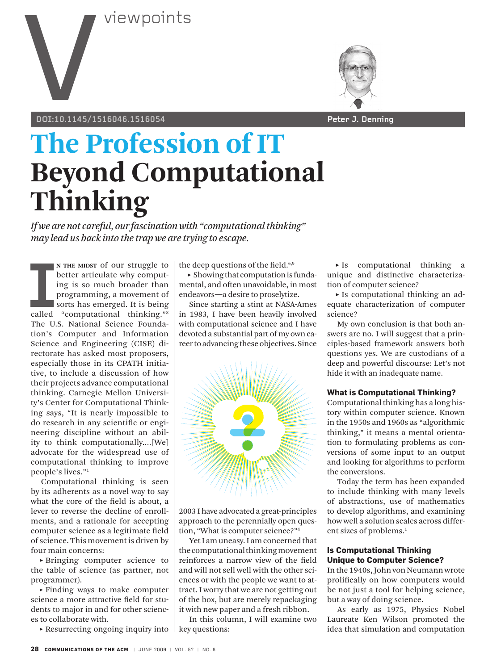

**DOI:10.1145/1516046.1516054 Peter J. Denning** 



# **The Profession of IT Beyond Computational thinking**

*If we are not careful, our fascination with "computational thinking" may lead us back into the trap we are trying to escape.*

**IFTHE MIDST OF OUT STATURE AND STATE OF A DEAD TO DETERMIN PROGRESON TO SOFT A REPORT OF SOFT AND THE COMPUTATION CONTROLLER THE U.S. Notional Science Foundational thinking."<sup>8</sup> N** THE MIDST of our struggle to better articulate why computing is so much broader than programming, a movement of sorts has emerged. It is being The U.S. National Science Foundation's Computer and Information Science and Engineering (CISE) directorate has asked most proposers, especially those in its CPATH initiative, to include a discussion of how their projects advance computational thinking. Carnegie Mellon University's Center for Computational Thinking says, "It is nearly impossible to do research in any scientific or engineering discipline without an ability to think computationally.…[We] advocate for the widespread use of computational thinking to improve people's lives."1

Computational thinking is seen by its adherents as a novel way to say what the core of the field is about, a lever to reverse the decline of enrollments, and a rationale for accepting computer science as a legitimate field of science. This movement is driven by four main concerns:

Bringing computer science to **•** the table of science (as partner, not programmer).

Finding ways to make computer **•** science a more attractive field for students to major in and for other sciences to collaborate with.

Resurrecting ongoing inquiry into **•**

the deep questions of the field. $6,9$ 

 **•** Showing that computation is fundamental, and often unavoidable, in most endeavors—a desire to proselytize.

Since starting a stint at NASA-Ames in 1983, I have been heavily involved with computational science and I have devoted a substantial part of my own career to advancing these objectives. Since



2003 I have advocated a great-principles approach to the perennially open question, "What is computer science?"4

Yet I am uneasy. I am concerned that the computational thinking movement reinforces a narrow view of the field and will not sell well with the other sciences or with the people we want to attract. I worry that we are not getting out of the box, but are merely repackaging it with new paper and a fresh ribbon.

In this column, I will examine two key questions:

Is computational thinking a **•** unique and distinctive characterization of computer science?

 **•** Is computational thinking an adequate characterization of computer science?

My own conclusion is that both answers are no. I will suggest that a principles-based framework answers both questions yes. We are custodians of a deep and powerful discourse: Let's not hide it with an inadequate name.

#### **What is Computational Thinking?**

Computational thinking has a long history within computer science. Known in the 1950s and 1960s as "algorithmic thinking," it means a mental orientation to formulating problems as conversions of some input to an output and looking for algorithms to perform the conversions.

Today the term has been expanded to include thinking with many levels of abstractions, use of mathematics to develop algorithms, and examining how well a solution scales across different sizes of problems.<sup>1</sup>

#### **is Computational Thinking Unique to Computer Science?**

In the 1940s, John von Neumann wrote prolifically on how computers would be not just a tool for helping science, but a way of doing science.

As early as 1975, Physics Nobel Laureate Ken Wilson promoted the idea that simulation and computation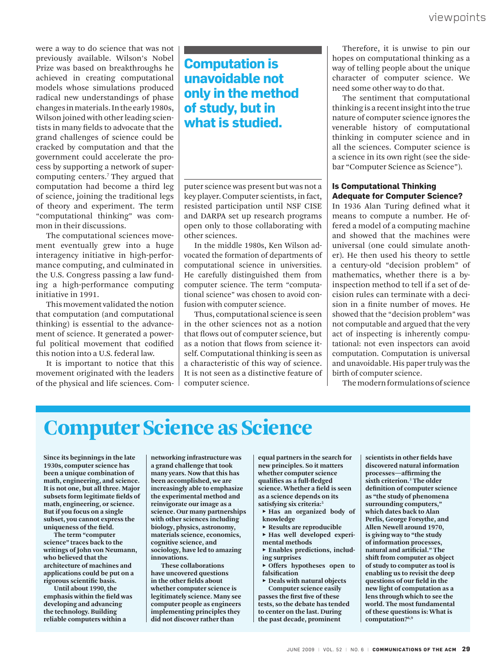Viewpoints<br>
were a way to do science that was not<br>
previously available. Wilson's Nobel<br>
Prize was based on breakthroughs he<br>
achieved in creating computational character of computational thinking as a<br>
achieved in creatin were a way to do science that was not previously available. Wilson's Nobel Prize was based on breakthroughs he achieved in creating computational models whose simulations produced radical new understandings of phase changes in materials. In the early 1980s, Wilson joined with other leading scientists in many fields to advocate that the grand challenges of science could be cracked by computation and that the government could accelerate the process by supporting a network of supercomputing centers.7 They argued that computation had become a third leg of science, joining the traditional legs of theory and experiment. The term "computational thinking" was common in their discussions.

> The computational sciences movement eventually grew into a huge interagency initiative in high-performance computing, and culminated in the U.S. Congress passing a law funding a high-performance computing initiative in 1991.

> This movement validated the notion that computation (and computational thinking) is essential to the advancement of science. It generated a powerful political movement that codified this notion into a U.S. federal law.

> It is important to notice that this movement originated with the leaders of the physical and life sciences. Com-

### **Computation is unavoidable not only in the method of study, but in what is studied.**

puter science was present but was not a key player. Computer scientists, in fact, resisted participation until NSF CISE and DARPA set up research programs open only to those collaborating with other sciences.

In the middle 1980s, Ken Wilson advocated the formation of departments of computational science in universities. He carefully distinguished them from computer science. The term "computational science" was chosen to avoid confusion with computer science.

Thus, computational science is seen in the other sciences not as a notion that flows out of computer science, but as a notion that flows from science itself. Computational thinking is seen as a characteristic of this way of science. It is not seen as a distinctive feature of computer science.

Therefore, it is unwise to pin our hopes on computational thinking as a way of telling people about the unique character of computer science. We need some other way to do that.

The sentiment that computational thinking is a recent insight into the true nature of computer science ignores the venerable history of computational thinking in computer science and in all the sciences. Computer science is a science in its own right (see the sidebar "Computer Science as Science").

#### **Is Computational Thinking Adequate for Computer Science?**

In 1936 Alan Turing defined what it means to compute a number. He offered a model of a computing machine and showed that the machines were universal (one could simulate another). He then used his theory to settle a century-old "decision problem" of mathematics, whether there is a byinspection method to tell if a set of decision rules can terminate with a decision in a finite number of moves. He showed that the "decision problem" was not computable and argued that the very act of inspecting is inherently computational: not even inspectors can avoid computation. Computation is universal and unavoidable. His paper truly was the birth of computer science.

The modern formulations of science

## Computer Science as Science

**Since its beginnings in the late 1930s, computer science has been a unique combination of math, engineering, and science. It is not one, but all three. Major subsets form legitimate fields of math, engineering, or science. But if you focus on a single subset, you cannot express the uniqueness of the field.**

**The term "computer science" traces back to the writings of John von Neumann, who believed that the architecture of machines and applications could be put on a rigorous scientific basis.**

**Until about 1990, the emphasis within the field was developing and advancing the technology. Building reliable computers within a** 

**networking infrastructure was a grand challenge that took many years. Now that this has been accomplished, we are increasingly able to emphasize the experimental method and reinvigorate our image as a science. Our many partnerships with other sciences including biology, physics, astronomy, materials science, economics, cognitive science, and sociology, have led to amazing innovations.**

**These collaborations have uncovered questions in the other fields about whether computer science is legitimately science. Many see computer people as engineers implementing principles they did not discover rather than** 

**equal partners in the search for new principles. So it matters whether computer science qualifies as a full-fledged science. Whether a field is seen as a science depends on its satisfying six criteria:5**

- **• Has an organized body of knowledge**
- **• Results are reproducible**
- **• Has well developed experimental methods**
- **• Enables predictions, including surprises**
- **• Offers hypotheses open to falsification**

**• Deals with natural objects Computer science easily passes the first five of these tests, so the debate has tended to center on the last. During the past decade, prominent** 

**scientists in other fields have discovered natural information processes—affirming the sixth criterion.3 The older definition of computer science as "the study of phenomena surrounding computers," which dates back to Alan Perlis, George Forsythe, and Allen Newell around 1970, is giving way to "the study of information processes, natural and artificial." The shift from computer as object of study to computer as tool is enabling us to revisit the deep questions of our field in the new light of computation as a lens through which to see the world. The most fundamental of these questions is: What is computation?6,9**